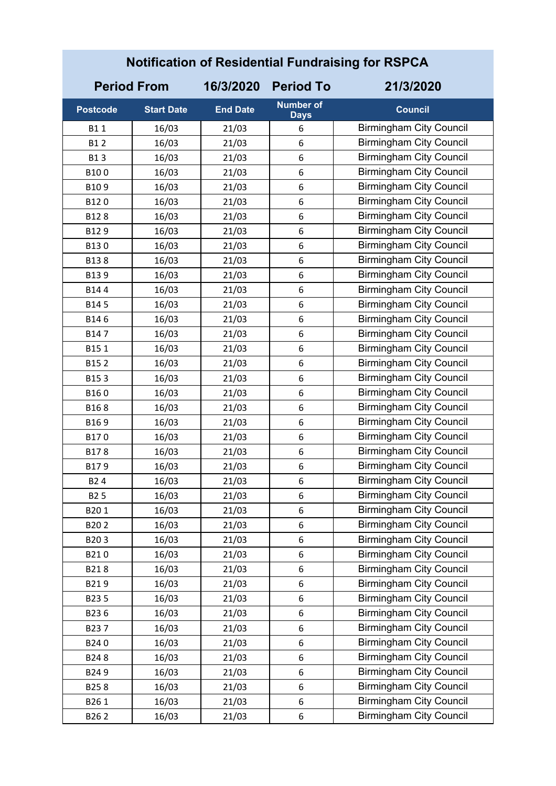| <b>Notification of Residential Fundraising for RSPCA</b> |                    |                 |                                 |                                |  |
|----------------------------------------------------------|--------------------|-----------------|---------------------------------|--------------------------------|--|
|                                                          | <b>Period From</b> | 16/3/2020       | <b>Period To</b>                | 21/3/2020                      |  |
| <b>Postcode</b>                                          | <b>Start Date</b>  | <b>End Date</b> | <b>Number of</b><br><b>Days</b> | <b>Council</b>                 |  |
| B11                                                      | 16/03              | 21/03           | 6                               | <b>Birmingham City Council</b> |  |
| <b>B12</b>                                               | 16/03              | 21/03           | 6                               | <b>Birmingham City Council</b> |  |
| <b>B13</b>                                               | 16/03              | 21/03           | 6                               | <b>Birmingham City Council</b> |  |
| B100                                                     | 16/03              | 21/03           | 6                               | <b>Birmingham City Council</b> |  |
| B109                                                     | 16/03              | 21/03           | 6                               | <b>Birmingham City Council</b> |  |
| B120                                                     | 16/03              | 21/03           | 6                               | <b>Birmingham City Council</b> |  |
| B128                                                     | 16/03              | 21/03           | 6                               | <b>Birmingham City Council</b> |  |
| B129                                                     | 16/03              | 21/03           | 6                               | <b>Birmingham City Council</b> |  |
| B130                                                     | 16/03              | 21/03           | 6                               | <b>Birmingham City Council</b> |  |
| B138                                                     | 16/03              | 21/03           | 6                               | <b>Birmingham City Council</b> |  |
| B139                                                     | 16/03              | 21/03           | 6                               | <b>Birmingham City Council</b> |  |
| B144                                                     | 16/03              | 21/03           | 6                               | <b>Birmingham City Council</b> |  |
| B145                                                     | 16/03              | 21/03           | 6                               | <b>Birmingham City Council</b> |  |
| B146                                                     | 16/03              | 21/03           | 6                               | <b>Birmingham City Council</b> |  |
| B147                                                     | 16/03              | 21/03           | 6                               | <b>Birmingham City Council</b> |  |
| B151                                                     | 16/03              | 21/03           | 6                               | <b>Birmingham City Council</b> |  |
| B152                                                     | 16/03              | 21/03           | 6                               | <b>Birmingham City Council</b> |  |
| B153                                                     | 16/03              | 21/03           | 6                               | <b>Birmingham City Council</b> |  |
| B160                                                     | 16/03              | 21/03           | 6                               | <b>Birmingham City Council</b> |  |
| B168                                                     | 16/03              | 21/03           | 6                               | <b>Birmingham City Council</b> |  |
| B169                                                     | 16/03              | 21/03           | 6                               | <b>Birmingham City Council</b> |  |
| B170                                                     | 16/03              | 21/03           | 6                               | <b>Birmingham City Council</b> |  |
| B178                                                     | 16/03              | 21/03           | 6                               | <b>Birmingham City Council</b> |  |
| B179                                                     | 16/03              | 21/03           | 6                               | <b>Birmingham City Council</b> |  |
| B <sub>2</sub> 4                                         | 16/03              | 21/03           | 6                               | <b>Birmingham City Council</b> |  |
| <b>B25</b>                                               | 16/03              | 21/03           | 6                               | <b>Birmingham City Council</b> |  |
| B201                                                     | 16/03              | 21/03           | 6                               | <b>Birmingham City Council</b> |  |
| B202                                                     | 16/03              | 21/03           | 6                               | <b>Birmingham City Council</b> |  |
| B203                                                     | 16/03              | 21/03           | 6                               | <b>Birmingham City Council</b> |  |
| B210                                                     | 16/03              | 21/03           | 6                               | <b>Birmingham City Council</b> |  |
| B218                                                     | 16/03              | 21/03           | 6                               | <b>Birmingham City Council</b> |  |
| B219                                                     | 16/03              | 21/03           | 6                               | <b>Birmingham City Council</b> |  |
| B235                                                     | 16/03              | 21/03           | 6                               | <b>Birmingham City Council</b> |  |
| B236                                                     | 16/03              | 21/03           | 6                               | <b>Birmingham City Council</b> |  |
| B237                                                     | 16/03              | 21/03           | 6                               | <b>Birmingham City Council</b> |  |
| B240                                                     | 16/03              | 21/03           | 6                               | <b>Birmingham City Council</b> |  |
| B248                                                     | 16/03              | 21/03           | 6                               | <b>Birmingham City Council</b> |  |
| B249                                                     | 16/03              | 21/03           | 6                               | <b>Birmingham City Council</b> |  |
| B258                                                     | 16/03              | 21/03           | 6                               | <b>Birmingham City Council</b> |  |
| B261                                                     | 16/03              | 21/03           | 6                               | <b>Birmingham City Council</b> |  |
| B262                                                     | 16/03              | 21/03           | 6                               | <b>Birmingham City Council</b> |  |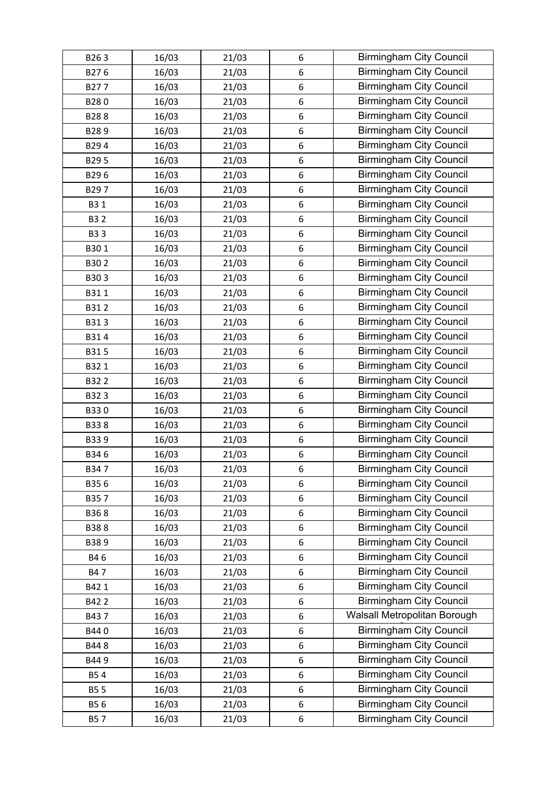| B263       | 16/03 | 21/03 | 6                | <b>Birmingham City Council</b> |
|------------|-------|-------|------------------|--------------------------------|
| B276       | 16/03 | 21/03 | 6                | <b>Birmingham City Council</b> |
| B277       | 16/03 | 21/03 | 6                | <b>Birmingham City Council</b> |
| B280       | 16/03 | 21/03 | 6                | <b>Birmingham City Council</b> |
| B288       | 16/03 | 21/03 | 6                | <b>Birmingham City Council</b> |
| B289       | 16/03 | 21/03 | 6                | <b>Birmingham City Council</b> |
| B294       | 16/03 | 21/03 | 6                | <b>Birmingham City Council</b> |
| B295       | 16/03 | 21/03 | 6                | <b>Birmingham City Council</b> |
| B296       | 16/03 | 21/03 | 6                | <b>Birmingham City Council</b> |
| B297       | 16/03 | 21/03 | 6                | <b>Birmingham City Council</b> |
| B3 1       | 16/03 | 21/03 | 6                | <b>Birmingham City Council</b> |
| <b>B32</b> | 16/03 | 21/03 | 6                | <b>Birmingham City Council</b> |
| <b>B33</b> | 16/03 | 21/03 | 6                | <b>Birmingham City Council</b> |
| B301       | 16/03 | 21/03 | 6                | <b>Birmingham City Council</b> |
| B302       | 16/03 | 21/03 | 6                | <b>Birmingham City Council</b> |
| B303       | 16/03 | 21/03 | 6                | <b>Birmingham City Council</b> |
| B311       | 16/03 | 21/03 | 6                | <b>Birmingham City Council</b> |
| B312       | 16/03 | 21/03 | 6                | <b>Birmingham City Council</b> |
| B313       | 16/03 | 21/03 | 6                | <b>Birmingham City Council</b> |
| B314       | 16/03 | 21/03 | 6                | <b>Birmingham City Council</b> |
| B315       | 16/03 | 21/03 | 6                | <b>Birmingham City Council</b> |
| B321       | 16/03 | 21/03 | 6                | <b>Birmingham City Council</b> |
| B322       | 16/03 | 21/03 | 6                | <b>Birmingham City Council</b> |
| B323       | 16/03 | 21/03 | 6                | <b>Birmingham City Council</b> |
| B330       | 16/03 | 21/03 | 6                | <b>Birmingham City Council</b> |
| B338       | 16/03 | 21/03 | 6                | <b>Birmingham City Council</b> |
| B339       | 16/03 | 21/03 | 6                | <b>Birmingham City Council</b> |
| B346       | 16/03 | 21/03 | 6                | <b>Birmingham City Council</b> |
| B347       | 16/03 | 21/03 | 6                | <b>Birmingham City Council</b> |
| B356       | 16/03 | 21/03 | 6                | <b>Birmingham City Council</b> |
| B357       | 16/03 | 21/03 | 6                | <b>Birmingham City Council</b> |
| B368       | 16/03 | 21/03 | 6                | <b>Birmingham City Council</b> |
| B388       | 16/03 | 21/03 | 6                | <b>Birmingham City Council</b> |
| B389       | 16/03 | 21/03 | 6                | <b>Birmingham City Council</b> |
| B46        | 16/03 | 21/03 | 6                | <b>Birmingham City Council</b> |
| B47        | 16/03 | 21/03 | 6                | <b>Birmingham City Council</b> |
| B42 1      | 16/03 | 21/03 | $\boldsymbol{6}$ | <b>Birmingham City Council</b> |
| B422       | 16/03 | 21/03 | 6                | <b>Birmingham City Council</b> |
| B437       | 16/03 | 21/03 | 6                | Walsall Metropolitan Borough   |
| B440       | 16/03 | 21/03 | 6                | <b>Birmingham City Council</b> |
| B448       | 16/03 | 21/03 | 6                | <b>Birmingham City Council</b> |
| B449       | 16/03 | 21/03 | 6                | <b>Birmingham City Council</b> |
| <b>B54</b> | 16/03 | 21/03 | 6                | <b>Birmingham City Council</b> |
| <b>B55</b> | 16/03 | 21/03 | 6                | <b>Birmingham City Council</b> |
| B56        | 16/03 | 21/03 | 6                | <b>Birmingham City Council</b> |
| <b>B57</b> | 16/03 | 21/03 | 6                | <b>Birmingham City Council</b> |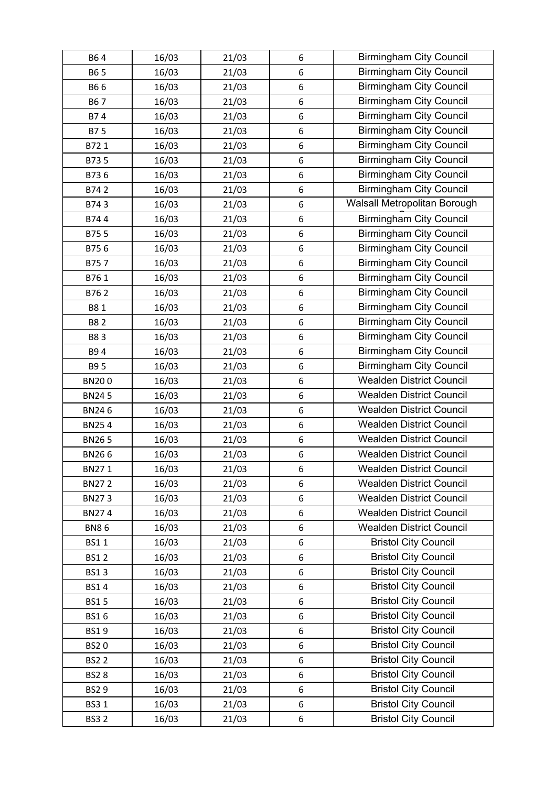| B64          | 16/03 | 21/03 | 6 | <b>Birmingham City Council</b>  |
|--------------|-------|-------|---|---------------------------------|
| B6 5         | 16/03 | 21/03 | 6 | <b>Birmingham City Council</b>  |
| B66          | 16/03 | 21/03 | 6 | <b>Birmingham City Council</b>  |
| B67          | 16/03 | 21/03 | 6 | <b>Birmingham City Council</b>  |
| B74          | 16/03 | 21/03 | 6 | <b>Birmingham City Council</b>  |
| B75          | 16/03 | 21/03 | 6 | <b>Birmingham City Council</b>  |
| B721         | 16/03 | 21/03 | 6 | <b>Birmingham City Council</b>  |
| B735         | 16/03 | 21/03 | 6 | <b>Birmingham City Council</b>  |
| B736         | 16/03 | 21/03 | 6 | <b>Birmingham City Council</b>  |
| B742         | 16/03 | 21/03 | 6 | <b>Birmingham City Council</b>  |
| B743         | 16/03 | 21/03 | 6 | Walsall Metropolitan Borough    |
| B744         | 16/03 | 21/03 | 6 | <b>Birmingham City Council</b>  |
| B755         | 16/03 | 21/03 | 6 | <b>Birmingham City Council</b>  |
| B756         | 16/03 | 21/03 | 6 | <b>Birmingham City Council</b>  |
| B757         | 16/03 | 21/03 | 6 | <b>Birmingham City Council</b>  |
| B761         | 16/03 | 21/03 | 6 | <b>Birmingham City Council</b>  |
| B762         | 16/03 | 21/03 | 6 | <b>Birmingham City Council</b>  |
| B81          | 16/03 | 21/03 | 6 | <b>Birmingham City Council</b>  |
| <b>B82</b>   | 16/03 | 21/03 | 6 | <b>Birmingham City Council</b>  |
| B83          | 16/03 | 21/03 | 6 | <b>Birmingham City Council</b>  |
| B94          | 16/03 | 21/03 | 6 | <b>Birmingham City Council</b>  |
| B9 5         | 16/03 | 21/03 | 6 | <b>Birmingham City Council</b>  |
| <b>BN200</b> | 16/03 | 21/03 | 6 | <b>Wealden District Council</b> |
| <b>BN245</b> | 16/03 | 21/03 | 6 | <b>Wealden District Council</b> |
| <b>BN246</b> | 16/03 | 21/03 | 6 | <b>Wealden District Council</b> |
| <b>BN254</b> | 16/03 | 21/03 | 6 | <b>Wealden District Council</b> |
| <b>BN265</b> | 16/03 | 21/03 | 6 | <b>Wealden District Council</b> |
| <b>BN266</b> | 16/03 | 21/03 | 6 | <b>Wealden District Council</b> |
| BN271        | 16/03 | 21/03 | 6 | <b>Wealden District Council</b> |
| <b>BN272</b> | 16/03 | 21/03 | 6 | <b>Wealden District Council</b> |
| <b>BN273</b> | 16/03 | 21/03 | 6 | <b>Wealden District Council</b> |
| BN274        | 16/03 | 21/03 | 6 | <b>Wealden District Council</b> |
| <b>BN86</b>  | 16/03 | 21/03 | 6 | <b>Wealden District Council</b> |
| <b>BS11</b>  | 16/03 | 21/03 | 6 | <b>Bristol City Council</b>     |
| <b>BS12</b>  | 16/03 | 21/03 | 6 | <b>Bristol City Council</b>     |
| <b>BS13</b>  | 16/03 | 21/03 | 6 | <b>Bristol City Council</b>     |
| <b>BS14</b>  | 16/03 | 21/03 | 6 | <b>Bristol City Council</b>     |
| <b>BS15</b>  | 16/03 | 21/03 | 6 | <b>Bristol City Council</b>     |
| <b>BS16</b>  | 16/03 | 21/03 | 6 | <b>Bristol City Council</b>     |
| <b>BS19</b>  | 16/03 | 21/03 | 6 | <b>Bristol City Council</b>     |
| <b>BS20</b>  | 16/03 | 21/03 | 6 | <b>Bristol City Council</b>     |
| <b>BS22</b>  | 16/03 | 21/03 | 6 | <b>Bristol City Council</b>     |
| <b>BS28</b>  | 16/03 | 21/03 | 6 | <b>Bristol City Council</b>     |
| <b>BS29</b>  | 16/03 | 21/03 | 6 | <b>Bristol City Council</b>     |
| <b>BS31</b>  | 16/03 | 21/03 | 6 | <b>Bristol City Council</b>     |
| <b>BS32</b>  | 16/03 | 21/03 | 6 | <b>Bristol City Council</b>     |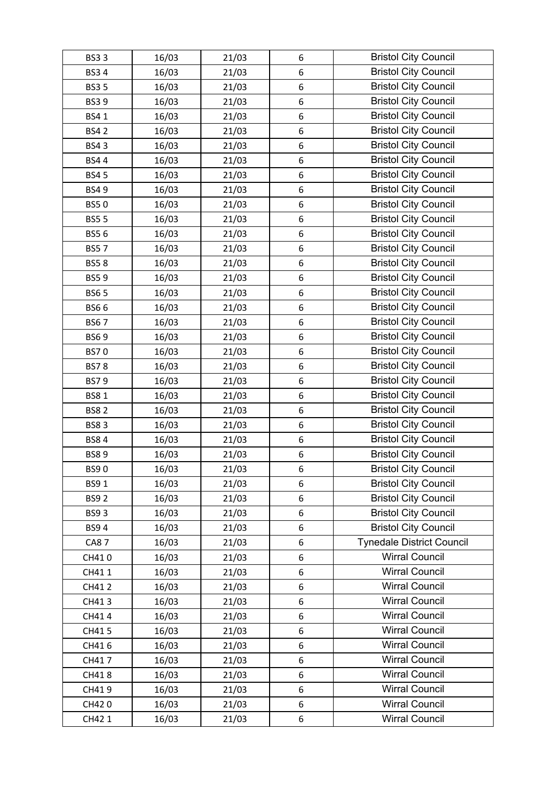| <b>BS33</b> | 16/03 | 21/03 | 6                | <b>Bristol City Council</b>      |
|-------------|-------|-------|------------------|----------------------------------|
| <b>BS34</b> | 16/03 | 21/03 | $\boldsymbol{6}$ | <b>Bristol City Council</b>      |
| <b>BS35</b> | 16/03 | 21/03 | 6                | <b>Bristol City Council</b>      |
| <b>BS39</b> | 16/03 | 21/03 | 6                | <b>Bristol City Council</b>      |
| <b>BS41</b> | 16/03 | 21/03 | 6                | <b>Bristol City Council</b>      |
| <b>BS42</b> | 16/03 | 21/03 | 6                | <b>Bristol City Council</b>      |
| <b>BS43</b> | 16/03 | 21/03 | 6                | <b>Bristol City Council</b>      |
| <b>BS44</b> | 16/03 | 21/03 | 6                | <b>Bristol City Council</b>      |
| <b>BS45</b> | 16/03 | 21/03 | 6                | <b>Bristol City Council</b>      |
| <b>BS49</b> | 16/03 | 21/03 | 6                | <b>Bristol City Council</b>      |
| <b>BS50</b> | 16/03 | 21/03 | 6                | <b>Bristol City Council</b>      |
| <b>BS55</b> | 16/03 | 21/03 | $\boldsymbol{6}$ | <b>Bristol City Council</b>      |
| <b>BS56</b> | 16/03 | 21/03 | 6                | <b>Bristol City Council</b>      |
| <b>BS57</b> | 16/03 | 21/03 | 6                | <b>Bristol City Council</b>      |
| <b>BS58</b> | 16/03 | 21/03 | 6                | <b>Bristol City Council</b>      |
| <b>BS59</b> | 16/03 | 21/03 | 6                | <b>Bristol City Council</b>      |
| <b>BS65</b> | 16/03 | 21/03 | 6                | <b>Bristol City Council</b>      |
| <b>BS66</b> | 16/03 | 21/03 | $\boldsymbol{6}$ | <b>Bristol City Council</b>      |
| <b>BS67</b> | 16/03 | 21/03 | 6                | <b>Bristol City Council</b>      |
| <b>BS69</b> | 16/03 | 21/03 | 6                | <b>Bristol City Council</b>      |
| <b>BS70</b> | 16/03 | 21/03 | 6                | <b>Bristol City Council</b>      |
| <b>BS78</b> | 16/03 | 21/03 | 6                | <b>Bristol City Council</b>      |
| <b>BS79</b> | 16/03 | 21/03 | 6                | <b>Bristol City Council</b>      |
| <b>BS81</b> | 16/03 | 21/03 | 6                | <b>Bristol City Council</b>      |
| <b>BS82</b> | 16/03 | 21/03 | 6                | <b>Bristol City Council</b>      |
| <b>BS83</b> | 16/03 | 21/03 | 6                | <b>Bristol City Council</b>      |
| <b>BS84</b> | 16/03 | 21/03 | 6                | <b>Bristol City Council</b>      |
| <b>BS89</b> | 16/03 | 21/03 | $\boldsymbol{6}$ | <b>Bristol City Council</b>      |
| <b>BS90</b> | 16/03 | 21/03 | 6                | <b>Bristol City Council</b>      |
| <b>BS91</b> | 16/03 | 21/03 | 6                | <b>Bristol City Council</b>      |
| <b>BS92</b> | 16/03 | 21/03 | 6                | <b>Bristol City Council</b>      |
| <b>BS93</b> | 16/03 | 21/03 | 6                | <b>Bristol City Council</b>      |
| <b>BS94</b> | 16/03 | 21/03 | 6                | <b>Bristol City Council</b>      |
| <b>CA87</b> | 16/03 | 21/03 | 6                | <b>Tynedale District Council</b> |
| CH410       | 16/03 | 21/03 | 6                | <b>Wirral Council</b>            |
| CH411       | 16/03 | 21/03 | 6                | <b>Wirral Council</b>            |
| CH412       | 16/03 | 21/03 | 6                | <b>Wirral Council</b>            |
| CH413       | 16/03 | 21/03 | 6                | <b>Wirral Council</b>            |
| CH414       | 16/03 | 21/03 | 6                | <b>Wirral Council</b>            |
| CH415       | 16/03 | 21/03 | 6                | <b>Wirral Council</b>            |
| CH416       | 16/03 | 21/03 | 6                | <b>Wirral Council</b>            |
| CH417       | 16/03 | 21/03 | 6                | <b>Wirral Council</b>            |
| CH418       | 16/03 | 21/03 | 6                | <b>Wirral Council</b>            |
| CH419       | 16/03 | 21/03 | 6                | <b>Wirral Council</b>            |
| CH420       | 16/03 | 21/03 | 6                | <b>Wirral Council</b>            |
| CH42 1      | 16/03 | 21/03 | $\boldsymbol{6}$ | <b>Wirral Council</b>            |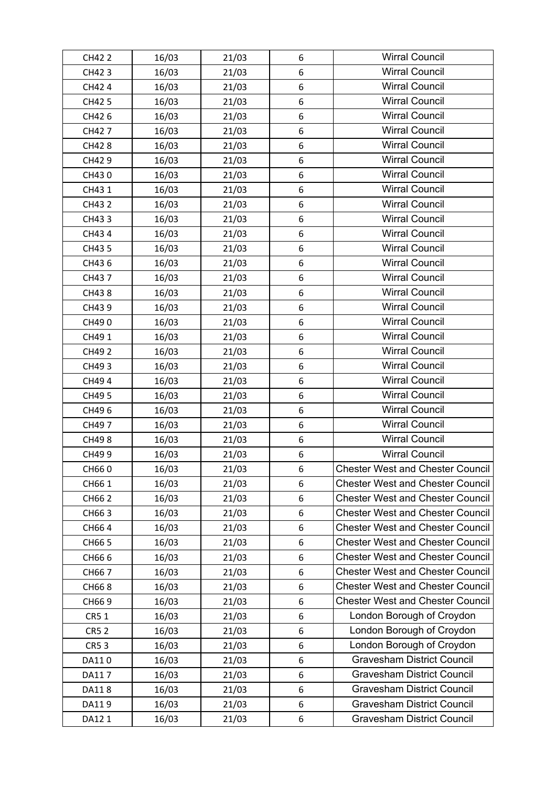| CH42 2      | 16/03 | 21/03 | 6                | <b>Wirral Council</b>                   |
|-------------|-------|-------|------------------|-----------------------------------------|
| CH423       | 16/03 | 21/03 | 6                | <b>Wirral Council</b>                   |
| CH424       | 16/03 | 21/03 | 6                | <b>Wirral Council</b>                   |
| CH42 5      | 16/03 | 21/03 | 6                | <b>Wirral Council</b>                   |
| CH426       | 16/03 | 21/03 | 6                | <b>Wirral Council</b>                   |
| CH427       | 16/03 | 21/03 | 6                | <b>Wirral Council</b>                   |
| CH428       | 16/03 | 21/03 | 6                | <b>Wirral Council</b>                   |
| CH429       | 16/03 | 21/03 | 6                | <b>Wirral Council</b>                   |
| CH430       | 16/03 | 21/03 | 6                | <b>Wirral Council</b>                   |
| CH431       | 16/03 | 21/03 | 6                | <b>Wirral Council</b>                   |
| CH43 2      | 16/03 | 21/03 | 6                | <b>Wirral Council</b>                   |
| CH433       | 16/03 | 21/03 | 6                | <b>Wirral Council</b>                   |
| CH434       | 16/03 | 21/03 | 6                | <b>Wirral Council</b>                   |
| CH43 5      | 16/03 | 21/03 | 6                | <b>Wirral Council</b>                   |
| CH436       | 16/03 | 21/03 | 6                | <b>Wirral Council</b>                   |
| CH437       | 16/03 | 21/03 | 6                | <b>Wirral Council</b>                   |
| CH438       | 16/03 | 21/03 | 6                | <b>Wirral Council</b>                   |
| CH439       | 16/03 | 21/03 | 6                | <b>Wirral Council</b>                   |
| CH490       | 16/03 | 21/03 | 6                | <b>Wirral Council</b>                   |
| CH49 1      | 16/03 | 21/03 | 6                | <b>Wirral Council</b>                   |
| CH49 2      | 16/03 | 21/03 | 6                | <b>Wirral Council</b>                   |
| CH493       | 16/03 | 21/03 | 6                | <b>Wirral Council</b>                   |
| CH494       | 16/03 | 21/03 | 6                | <b>Wirral Council</b>                   |
| CH49 5      | 16/03 | 21/03 | $6\,$            | <b>Wirral Council</b>                   |
| CH496       | 16/03 | 21/03 | 6                | <b>Wirral Council</b>                   |
| CH497       | 16/03 | 21/03 | 6                | <b>Wirral Council</b>                   |
| CH498       | 16/03 | 21/03 | 6                | <b>Wirral Council</b>                   |
| CH499       | 16/03 | 21/03 | 6                | <b>Wirral Council</b>                   |
| CH660       | 16/03 | 21/03 | 6                | <b>Chester West and Chester Council</b> |
| CH66 1      | 16/03 | 21/03 | 6                | <b>Chester West and Chester Council</b> |
| CH66 2      | 16/03 | 21/03 | 6                | <b>Chester West and Chester Council</b> |
| CH663       | 16/03 | 21/03 | 6                | <b>Chester West and Chester Council</b> |
| CH664       | 16/03 | 21/03 | 6                | <b>Chester West and Chester Council</b> |
| CH66 5      | 16/03 | 21/03 | 6                | <b>Chester West and Chester Council</b> |
| CH666       | 16/03 | 21/03 | 6                | <b>Chester West and Chester Council</b> |
| CH667       | 16/03 | 21/03 | 6                | <b>Chester West and Chester Council</b> |
| CH668       | 16/03 | 21/03 | 6                | <b>Chester West and Chester Council</b> |
| CH669       | 16/03 | 21/03 | 6                | <b>Chester West and Chester Council</b> |
| <b>CR51</b> | 16/03 | 21/03 | 6                | London Borough of Croydon               |
| <b>CR52</b> | 16/03 | 21/03 | 6                | London Borough of Croydon               |
| <b>CR53</b> | 16/03 | 21/03 | 6                | London Borough of Croydon               |
| DA110       | 16/03 | 21/03 | 6                | <b>Gravesham District Council</b>       |
| DA117       | 16/03 | 21/03 | 6                | <b>Gravesham District Council</b>       |
| DA118       | 16/03 | 21/03 | 6                | <b>Gravesham District Council</b>       |
| DA119       | 16/03 | 21/03 | $\boldsymbol{6}$ | <b>Gravesham District Council</b>       |
| DA12 1      | 16/03 | 21/03 | 6                | <b>Gravesham District Council</b>       |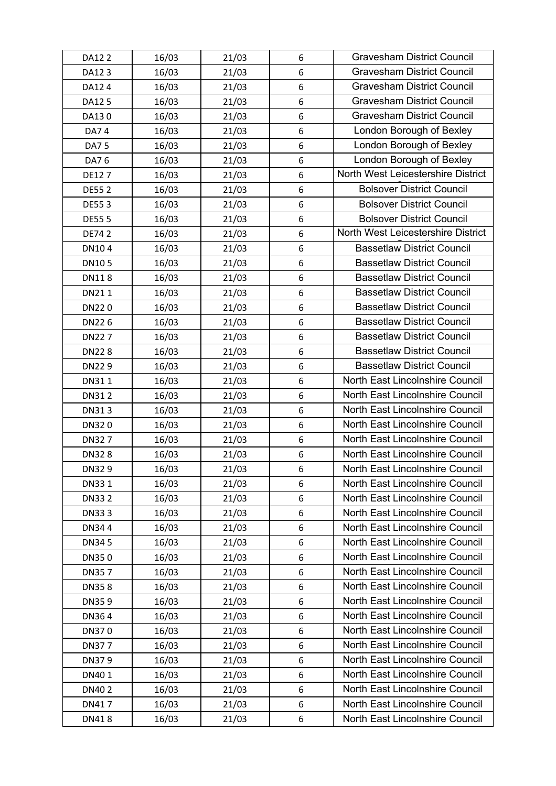| DA12 2       | 16/03 | 21/03 | 6 | <b>Gravesham District Council</b>  |
|--------------|-------|-------|---|------------------------------------|
| DA123        | 16/03 | 21/03 | 6 | <b>Gravesham District Council</b>  |
| DA12 4       | 16/03 | 21/03 | 6 | <b>Gravesham District Council</b>  |
| DA12 5       | 16/03 | 21/03 | 6 | <b>Gravesham District Council</b>  |
| DA130        | 16/03 | 21/03 | 6 | <b>Gravesham District Council</b>  |
| DA74         | 16/03 | 21/03 | 6 | London Borough of Bexley           |
| DA7 5        | 16/03 | 21/03 | 6 | London Borough of Bexley           |
| DA7 6        | 16/03 | 21/03 | 6 | London Borough of Bexley           |
| DE127        | 16/03 | 21/03 | 6 | North West Leicestershire District |
| <b>DE552</b> | 16/03 | 21/03 | 6 | <b>Bolsover District Council</b>   |
| <b>DE553</b> | 16/03 | 21/03 | 6 | <b>Bolsover District Council</b>   |
| <b>DE555</b> | 16/03 | 21/03 | 6 | <b>Bolsover District Council</b>   |
| <b>DE742</b> | 16/03 | 21/03 | 6 | North West Leicestershire District |
| DN104        | 16/03 | 21/03 | 6 | <b>Bassetlaw District Council</b>  |
| DN105        | 16/03 | 21/03 | 6 | <b>Bassetlaw District Council</b>  |
| <b>DN118</b> | 16/03 | 21/03 | 6 | <b>Bassetlaw District Council</b>  |
| DN211        | 16/03 | 21/03 | 6 | <b>Bassetlaw District Council</b>  |
| DN220        | 16/03 | 21/03 | 6 | <b>Bassetlaw District Council</b>  |
| DN226        | 16/03 | 21/03 | 6 | <b>Bassetlaw District Council</b>  |
| <b>DN227</b> | 16/03 | 21/03 | 6 | <b>Bassetlaw District Council</b>  |
| <b>DN228</b> | 16/03 | 21/03 | 6 | <b>Bassetlaw District Council</b>  |
| DN229        | 16/03 | 21/03 | 6 | <b>Bassetlaw District Council</b>  |
| DN311        | 16/03 | 21/03 | 6 | North East Lincolnshire Council    |
| DN312        | 16/03 | 21/03 | 6 | North East Lincolnshire Council    |
| DN313        | 16/03 | 21/03 | 6 | North East Lincolnshire Council    |
| DN320        | 16/03 | 21/03 | 6 | North East Lincolnshire Council    |
| DN327        | 16/03 | 21/03 | 6 | North East Lincolnshire Council    |
| DN328        | 16/03 | 21/03 | 6 | North East Lincolnshire Council    |
| DN329        | 16/03 | 21/03 | 6 | North East Lincolnshire Council    |
| DN331        | 16/03 | 21/03 | 6 | North East Lincolnshire Council    |
| DN33 2       | 16/03 | 21/03 | 6 | North East Lincolnshire Council    |
| DN333        | 16/03 | 21/03 | 6 | North East Lincolnshire Council    |
| DN344        | 16/03 | 21/03 | 6 | North East Lincolnshire Council    |
| <b>DN345</b> | 16/03 | 21/03 | 6 | North East Lincolnshire Council    |
| DN350        | 16/03 | 21/03 | 6 | North East Lincolnshire Council    |
| DN357        | 16/03 | 21/03 | 6 | North East Lincolnshire Council    |
| DN358        | 16/03 | 21/03 | 6 | North East Lincolnshire Council    |
| DN359        | 16/03 | 21/03 | 6 | North East Lincolnshire Council    |
| DN364        | 16/03 | 21/03 | 6 | North East Lincolnshire Council    |
| DN370        | 16/03 | 21/03 | 6 | North East Lincolnshire Council    |
| DN377        | 16/03 | 21/03 | 6 | North East Lincolnshire Council    |
| DN379        | 16/03 | 21/03 | 6 | North East Lincolnshire Council    |
| DN401        | 16/03 | 21/03 | 6 | North East Lincolnshire Council    |
| DN402        | 16/03 | 21/03 | 6 | North East Lincolnshire Council    |
| DN417        | 16/03 | 21/03 | 6 | North East Lincolnshire Council    |
| DN418        | 16/03 | 21/03 | 6 | North East Lincolnshire Council    |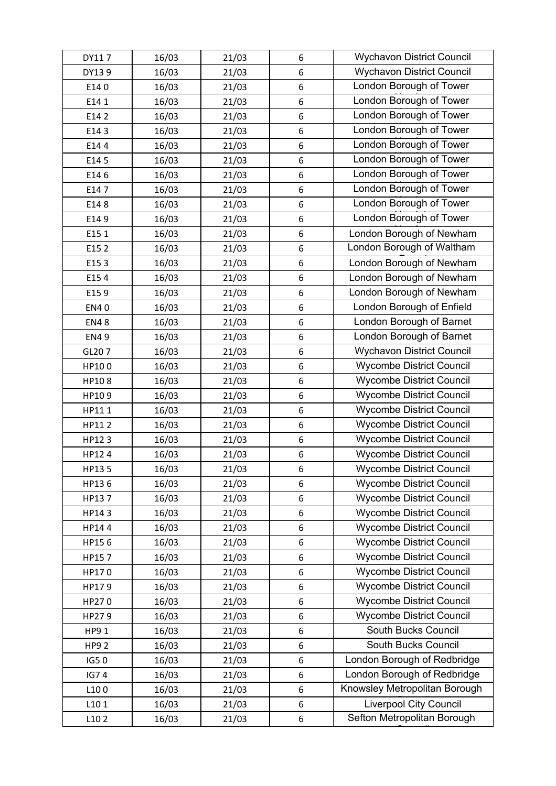| DY117       | 16/03 | 21/03 | 6                | <b>Wychavon District Council</b> |
|-------------|-------|-------|------------------|----------------------------------|
| DY139       | 16/03 | 21/03 | 6                | <b>Wychavon District Council</b> |
| E140        | 16/03 | 21/03 | 6                | London Borough of Tower          |
| E141        | 16/03 | 21/03 | $\,6\,$          | London Borough of Tower          |
| E14 2       | 16/03 | 21/03 | 6                | London Borough of Tower          |
| E143        | 16/03 | 21/03 | $\boldsymbol{6}$ | London Borough of Tower          |
| E144        | 16/03 | 21/03 | 6                | London Borough of Tower          |
| E14 5       | 16/03 | 21/03 | $\boldsymbol{6}$ | London Borough of Tower          |
| E146        | 16/03 | 21/03 | 6                | London Borough of Tower          |
| E147        | 16/03 | 21/03 | 6                | London Borough of Tower          |
| E148        | 16/03 | 21/03 | 6                | London Borough of Tower          |
| E149        | 16/03 | 21/03 | $\,6\,$          | London Borough of Tower          |
| E15 1       | 16/03 | 21/03 | 6                | London Borough of Newham         |
| E152        | 16/03 | 21/03 | $\boldsymbol{6}$ | London Borough of Waltham        |
| E153        | 16/03 | 21/03 | $\,6\,$          | London Borough of Newham         |
| E154        | 16/03 | 21/03 | 6                | London Borough of Newham         |
| E159        | 16/03 | 21/03 | $\,6\,$          | London Borough of Newham         |
| <b>EN40</b> | 16/03 | 21/03 | $\boldsymbol{6}$ | London Borough of Enfield        |
| <b>EN48</b> | 16/03 | 21/03 | 6                | London Borough of Barnet         |
| <b>EN49</b> | 16/03 | 21/03 | $\,6\,$          | London Borough of Barnet         |
| GL207       | 16/03 | 21/03 | $\,6\,$          | <b>Wychavon District Council</b> |
| HP100       | 16/03 | 21/03 | $\boldsymbol{6}$ | <b>Wycombe District Council</b>  |
| HP108       | 16/03 | 21/03 | $\,6\,$          | <b>Wycombe District Council</b>  |
| HP109       | 16/03 | 21/03 | 6                | <b>Wycombe District Council</b>  |
| HP111       | 16/03 | 21/03 | $\,6\,$          | <b>Wycombe District Council</b>  |
| HP112       | 16/03 | 21/03 | $\,6\,$          | <b>Wycombe District Council</b>  |
| HP123       | 16/03 | 21/03 | 6                | <b>Wycombe District Council</b>  |
| HP124       | 16/03 | 21/03 | $\,$ 6 $\,$      | <b>Wycombe District Council</b>  |
| HP135       | 16/03 | 21/03 | 6                | <b>Wycombe District Council</b>  |
| HP136       | 16/03 | 21/03 | 6                | <b>Wycombe District Council</b>  |
| HP137       | 16/03 | 21/03 | 6                | <b>Wycombe District Council</b>  |
| HP143       | 16/03 | 21/03 | 6                | <b>Wycombe District Council</b>  |
| HP144       | 16/03 | 21/03 | $\boldsymbol{6}$ | <b>Wycombe District Council</b>  |
| HP156       | 16/03 | 21/03 | 6                | <b>Wycombe District Council</b>  |
| HP157       | 16/03 | 21/03 | 6                | <b>Wycombe District Council</b>  |
| HP170       | 16/03 | 21/03 | $\boldsymbol{6}$ | <b>Wycombe District Council</b>  |
| HP179       | 16/03 | 21/03 | $6\,$            | <b>Wycombe District Council</b>  |
| HP270       | 16/03 | 21/03 | 6                | <b>Wycombe District Council</b>  |
| HP279       | 16/03 | 21/03 | $\boldsymbol{6}$ | <b>Wycombe District Council</b>  |
| HP9 1       | 16/03 | 21/03 | 6                | South Bucks Council              |
| <b>HP92</b> | 16/03 | 21/03 | $\boldsymbol{6}$ | South Bucks Council              |
| IG50        | 16/03 | 21/03 | $\boldsymbol{6}$ | London Borough of Redbridge      |
| <b>IG74</b> | 16/03 | 21/03 | 6                | London Borough of Redbridge      |
| L100        | 16/03 | 21/03 | $\boldsymbol{6}$ | Knowsley Metropolitan Borough    |
| L101        | 16/03 | 21/03 | $6\,$            | <b>Liverpool City Council</b>    |
| L102        | 16/03 | 21/03 | 6                | Sefton Metropolitan Borough      |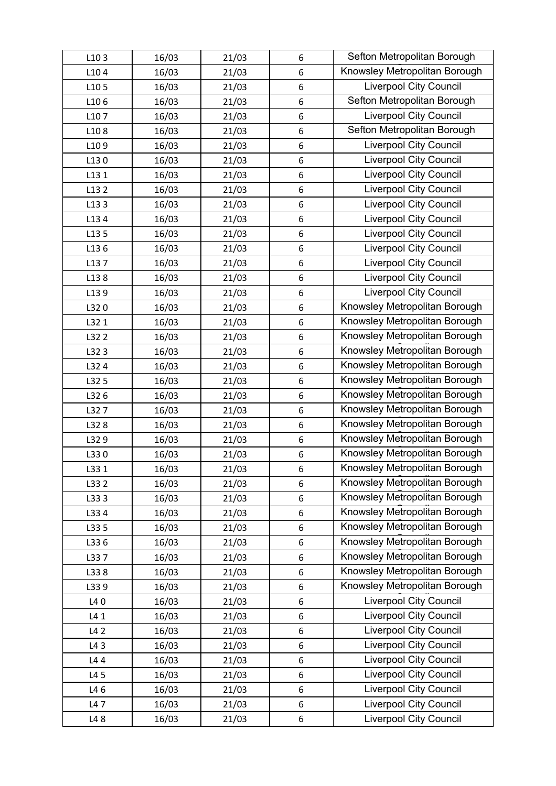| L103  | 16/03 | 21/03 | 6       | Sefton Metropolitan Borough   |
|-------|-------|-------|---------|-------------------------------|
| L104  | 16/03 | 21/03 | 6       | Knowsley Metropolitan Borough |
| L105  | 16/03 | 21/03 | 6       | <b>Liverpool City Council</b> |
| L106  | 16/03 | 21/03 | 6       | Sefton Metropolitan Borough   |
| L107  | 16/03 | 21/03 | 6       | <b>Liverpool City Council</b> |
| L108  | 16/03 | 21/03 | 6       | Sefton Metropolitan Borough   |
| L109  | 16/03 | 21/03 | 6       | <b>Liverpool City Council</b> |
| L130  | 16/03 | 21/03 | 6       | <b>Liverpool City Council</b> |
| L13 1 | 16/03 | 21/03 | 6       | <b>Liverpool City Council</b> |
| L13 2 | 16/03 | 21/03 | 6       | <b>Liverpool City Council</b> |
| L133  | 16/03 | 21/03 | 6       | <b>Liverpool City Council</b> |
| L134  | 16/03 | 21/03 | 6       | <b>Liverpool City Council</b> |
| L135  | 16/03 | 21/03 | 6       | <b>Liverpool City Council</b> |
| L136  | 16/03 | 21/03 | 6       | Liverpool City Council        |
| L137  | 16/03 | 21/03 | 6       | <b>Liverpool City Council</b> |
| L138  | 16/03 | 21/03 | 6       | <b>Liverpool City Council</b> |
| L139  | 16/03 | 21/03 | 6       | Liverpool City Council        |
| L320  | 16/03 | 21/03 | 6       | Knowsley Metropolitan Borough |
| L32 1 | 16/03 | 21/03 | 6       | Knowsley Metropolitan Borough |
| L32 2 | 16/03 | 21/03 | 6       | Knowsley Metropolitan Borough |
| L323  | 16/03 | 21/03 | 6       | Knowsley Metropolitan Borough |
| L32 4 | 16/03 | 21/03 | 6       | Knowsley Metropolitan Borough |
| L32 5 | 16/03 | 21/03 | 6       | Knowsley Metropolitan Borough |
| L326  | 16/03 | 21/03 | 6       | Knowsley Metropolitan Borough |
| L327  | 16/03 | 21/03 | 6       | Knowsley Metropolitan Borough |
| L328  | 16/03 | 21/03 | 6       | Knowsley Metropolitan Borough |
| L329  | 16/03 | 21/03 | 6       | Knowsley Metropolitan Borough |
| L330  | 16/03 | 21/03 | 6       | Knowsley Metropolitan Borough |
| L33 1 | 16/03 | 21/03 | 6       | Knowsley Metropolitan Borough |
| L33 2 | 16/03 | 21/03 | 6       | Knowsley Metropolitan Borough |
| L333  | 16/03 | 21/03 | 6       | Knowsley Metropolitan Borough |
| L33 4 | 16/03 | 21/03 | 6       | Knowsley Metropolitan Borough |
| L33 5 | 16/03 | 21/03 | 6       | Knowsley Metropolitan Borough |
| L336  | 16/03 | 21/03 | 6       | Knowsley Metropolitan Borough |
| L337  | 16/03 | 21/03 | 6       | Knowsley Metropolitan Borough |
| L338  | 16/03 | 21/03 | 6       | Knowsley Metropolitan Borough |
| L339  | 16/03 | 21/03 | 6       | Knowsley Metropolitan Borough |
| L40   | 16/03 | 21/03 | 6       | <b>Liverpool City Council</b> |
| L41   | 16/03 | 21/03 | 6       | <b>Liverpool City Council</b> |
| L42   | 16/03 | 21/03 | 6       | <b>Liverpool City Council</b> |
| L43   | 16/03 | 21/03 | 6       | <b>Liverpool City Council</b> |
| L44   | 16/03 | 21/03 | 6       | Liverpool City Council        |
| L4 5  | 16/03 | 21/03 | 6       | <b>Liverpool City Council</b> |
| L46   | 16/03 | 21/03 | 6       | Liverpool City Council        |
| L47   | 16/03 | 21/03 | $\,6\,$ | <b>Liverpool City Council</b> |
| L48   | 16/03 | 21/03 | 6       | <b>Liverpool City Council</b> |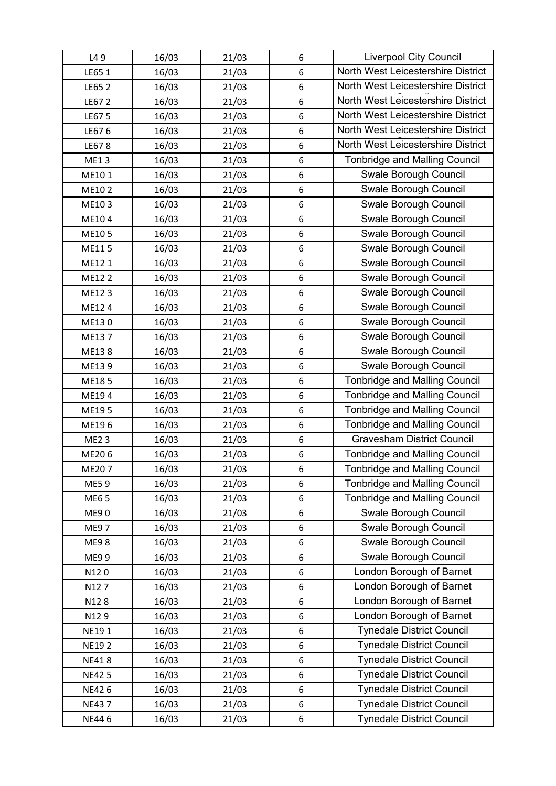| L49          | 16/03 | 21/03 | 6                | <b>Liverpool City Council</b>        |
|--------------|-------|-------|------------------|--------------------------------------|
| LE65 1       | 16/03 | 21/03 | 6                | North West Leicestershire District   |
| LE65 2       | 16/03 | 21/03 | $6\,$            | North West Leicestershire District   |
| LE67 2       | 16/03 | 21/03 | 6                | North West Leicestershire District   |
| LE67 5       | 16/03 | 21/03 | $6\,$            | North West Leicestershire District   |
| LE676        | 16/03 | 21/03 | $6\,$            | North West Leicestershire District   |
| LE678        | 16/03 | 21/03 | 6                | North West Leicestershire District   |
| <b>ME13</b>  | 16/03 | 21/03 | 6                | <b>Tonbridge and Malling Council</b> |
| ME101        | 16/03 | 21/03 | $6\,$            | Swale Borough Council                |
| ME102        | 16/03 | 21/03 | 6                | Swale Borough Council                |
| ME103        | 16/03 | 21/03 | 6                | Swale Borough Council                |
| ME104        | 16/03 | 21/03 | 6                | Swale Borough Council                |
| ME105        | 16/03 | 21/03 | $6\,$            | Swale Borough Council                |
| ME115        | 16/03 | 21/03 | 6                | Swale Borough Council                |
| ME12 1       | 16/03 | 21/03 | 6                | Swale Borough Council                |
| ME12 2       | 16/03 | 21/03 | 6                | Swale Borough Council                |
| ME123        | 16/03 | 21/03 | 6                | Swale Borough Council                |
| ME124        | 16/03 | 21/03 | 6                | Swale Borough Council                |
| ME130        | 16/03 | 21/03 | 6                | Swale Borough Council                |
| ME137        | 16/03 | 21/03 | $\,6\,$          | Swale Borough Council                |
| ME138        | 16/03 | 21/03 | $6\,$            | Swale Borough Council                |
| ME139        | 16/03 | 21/03 | 6                | Swale Borough Council                |
| ME185        | 16/03 | 21/03 | 6                | <b>Tonbridge and Malling Council</b> |
| ME194        | 16/03 | 21/03 | 6                | <b>Tonbridge and Malling Council</b> |
| ME195        | 16/03 | 21/03 | $6\,$            | <b>Tonbridge and Malling Council</b> |
| ME196        | 16/03 | 21/03 | 6                | <b>Tonbridge and Malling Council</b> |
| <b>ME23</b>  | 16/03 | 21/03 | 6                | <b>Gravesham District Council</b>    |
| ME206        | 16/03 | 21/03 | $\,6\,$          | <b>Tonbridge and Malling Council</b> |
| ME207        | 16/03 | 21/03 | 6                | <b>Tonbridge and Malling Council</b> |
| ME59         | 16/03 | 21/03 | 6                | <b>Tonbridge and Malling Council</b> |
| <b>ME65</b>  | 16/03 | 21/03 | 6                | <b>Tonbridge and Malling Council</b> |
| <b>ME90</b>  | 16/03 | 21/03 | 6                | Swale Borough Council                |
| <b>ME97</b>  | 16/03 | 21/03 | $\boldsymbol{6}$ | Swale Borough Council                |
| <b>ME98</b>  | 16/03 | 21/03 | 6                | Swale Borough Council                |
| ME9 9        | 16/03 | 21/03 | 6                | Swale Borough Council                |
| N120         | 16/03 | 21/03 | 6                | London Borough of Barnet             |
| N127         | 16/03 | 21/03 | $\boldsymbol{6}$ | London Borough of Barnet             |
| N128         | 16/03 | 21/03 | $\boldsymbol{6}$ | London Borough of Barnet             |
| N129         | 16/03 | 21/03 | $\boldsymbol{6}$ | London Borough of Barnet             |
| NE191        | 16/03 | 21/03 | $\boldsymbol{6}$ | <b>Tynedale District Council</b>     |
| <b>NE192</b> | 16/03 | 21/03 | 6                | <b>Tynedale District Council</b>     |
| <b>NE418</b> | 16/03 | 21/03 | $\boldsymbol{6}$ | <b>Tynedale District Council</b>     |
| <b>NE425</b> | 16/03 | 21/03 | 6                | <b>Tynedale District Council</b>     |
| NE426        | 16/03 | 21/03 | 6                | <b>Tynedale District Council</b>     |
| <b>NE437</b> | 16/03 | 21/03 | $\boldsymbol{6}$ | <b>Tynedale District Council</b>     |
| NE446        | 16/03 | 21/03 | $\,$ 6 $\,$      | <b>Tynedale District Council</b>     |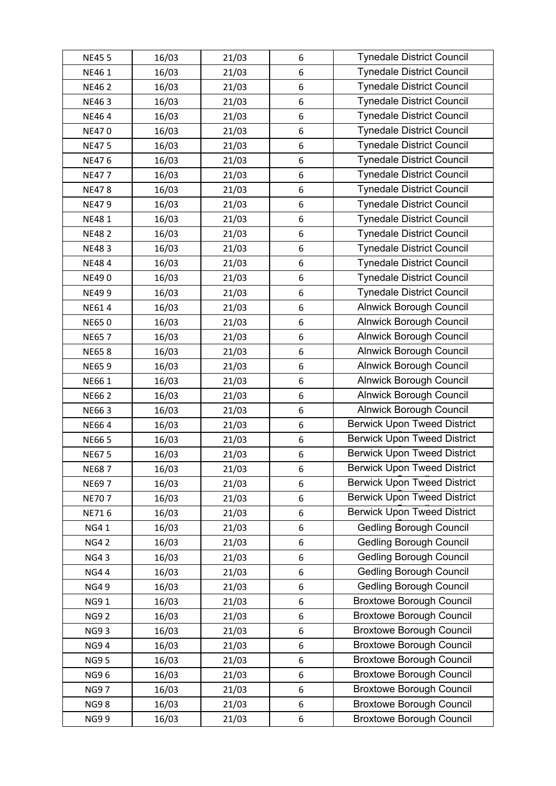| <b>NE455</b> | 16/03 | 21/03 | 6                | <b>Tynedale District Council</b>   |
|--------------|-------|-------|------------------|------------------------------------|
| NE46 1       | 16/03 | 21/03 | 6                | <b>Tynedale District Council</b>   |
| <b>NE462</b> | 16/03 | 21/03 | $\boldsymbol{6}$ | <b>Tynedale District Council</b>   |
| <b>NE463</b> | 16/03 | 21/03 | 6                | <b>Tynedale District Council</b>   |
| NE464        | 16/03 | 21/03 | $\boldsymbol{6}$ | <b>Tynedale District Council</b>   |
| <b>NE470</b> | 16/03 | 21/03 | $\boldsymbol{6}$ | <b>Tynedale District Council</b>   |
| <b>NE475</b> | 16/03 | 21/03 | 6                | <b>Tynedale District Council</b>   |
| NE476        | 16/03 | 21/03 | 6                | <b>Tynedale District Council</b>   |
| <b>NE477</b> | 16/03 | 21/03 | $\boldsymbol{6}$ | <b>Tynedale District Council</b>   |
| <b>NE478</b> | 16/03 | 21/03 | 6                | <b>Tynedale District Council</b>   |
| <b>NE479</b> | 16/03 | 21/03 | 6                | <b>Tynedale District Council</b>   |
| <b>NE481</b> | 16/03 | 21/03 | 6                | <b>Tynedale District Council</b>   |
| <b>NE482</b> | 16/03 | 21/03 | $\boldsymbol{6}$ | <b>Tynedale District Council</b>   |
| <b>NE483</b> | 16/03 | 21/03 | $\boldsymbol{6}$ | <b>Tynedale District Council</b>   |
| <b>NE484</b> | 16/03 | 21/03 | 6                | <b>Tynedale District Council</b>   |
| NE490        | 16/03 | 21/03 | 6                | <b>Tynedale District Council</b>   |
| <b>NE499</b> | 16/03 | 21/03 | 6                | <b>Tynedale District Council</b>   |
| NE614        | 16/03 | 21/03 | 6                | <b>Alnwick Borough Council</b>     |
| <b>NE650</b> | 16/03 | 21/03 | 6                | <b>Alnwick Borough Council</b>     |
| <b>NE657</b> | 16/03 | 21/03 | 6                | <b>Alnwick Borough Council</b>     |
| <b>NE658</b> | 16/03 | 21/03 | $\boldsymbol{6}$ | <b>Alnwick Borough Council</b>     |
| <b>NE659</b> | 16/03 | 21/03 | $\boldsymbol{6}$ | <b>Alnwick Borough Council</b>     |
| <b>NE661</b> | 16/03 | 21/03 | 6                | <b>Alnwick Borough Council</b>     |
| <b>NE662</b> | 16/03 | 21/03 | 6                | <b>Alnwick Borough Council</b>     |
| <b>NE663</b> | 16/03 | 21/03 | $\boldsymbol{6}$ | <b>Alnwick Borough Council</b>     |
| NE664        | 16/03 | 21/03 | $6\phantom{1}6$  | <b>Berwick Upon Tweed District</b> |
| <b>NE665</b> | 16/03 | 21/03 | 6                | <b>Berwick Upon Tweed District</b> |
| <b>NE675</b> | 16/03 | 21/03 | $\,6\,$          | <b>Berwick Upon Tweed District</b> |
| <b>NE687</b> | 16/03 | 21/03 | 6                | <b>Berwick Upon Tweed District</b> |
| <b>NE697</b> | 16/03 | 21/03 | 6                | <b>Berwick Upon Tweed District</b> |
| <b>NE707</b> | 16/03 | 21/03 | 6                | <b>Berwick Upon Tweed District</b> |
| NE716        | 16/03 | 21/03 | 6                | <b>Berwick Upon Tweed District</b> |
| <b>NG41</b>  | 16/03 | 21/03 | $\boldsymbol{6}$ | <b>Gedling Borough Council</b>     |
| <b>NG42</b>  | 16/03 | 21/03 | $\boldsymbol{6}$ | <b>Gedling Borough Council</b>     |
| <b>NG43</b>  | 16/03 | 21/03 | 6                | <b>Gedling Borough Council</b>     |
| <b>NG44</b>  | 16/03 | 21/03 | 6                | <b>Gedling Borough Council</b>     |
| <b>NG49</b>  | 16/03 | 21/03 | $\boldsymbol{6}$ | <b>Gedling Borough Council</b>     |
| <b>NG91</b>  | 16/03 | 21/03 | $\boldsymbol{6}$ | <b>Broxtowe Borough Council</b>    |
| <b>NG92</b>  | 16/03 | 21/03 | $\boldsymbol{6}$ | <b>Broxtowe Borough Council</b>    |
| <b>NG93</b>  | 16/03 | 21/03 | 6                | <b>Broxtowe Borough Council</b>    |
| <b>NG94</b>  | 16/03 | 21/03 | $\boldsymbol{6}$ | <b>Broxtowe Borough Council</b>    |
| <b>NG95</b>  | 16/03 | 21/03 | $\boldsymbol{6}$ | <b>Broxtowe Borough Council</b>    |
| <b>NG96</b>  | 16/03 | 21/03 | 6                | <b>Broxtowe Borough Council</b>    |
| <b>NG97</b>  | 16/03 | 21/03 | 6                | <b>Broxtowe Borough Council</b>    |
| <b>NG98</b>  | 16/03 | 21/03 | $\boldsymbol{6}$ | <b>Broxtowe Borough Council</b>    |
| <b>NG99</b>  | 16/03 | 21/03 | 6                | <b>Broxtowe Borough Council</b>    |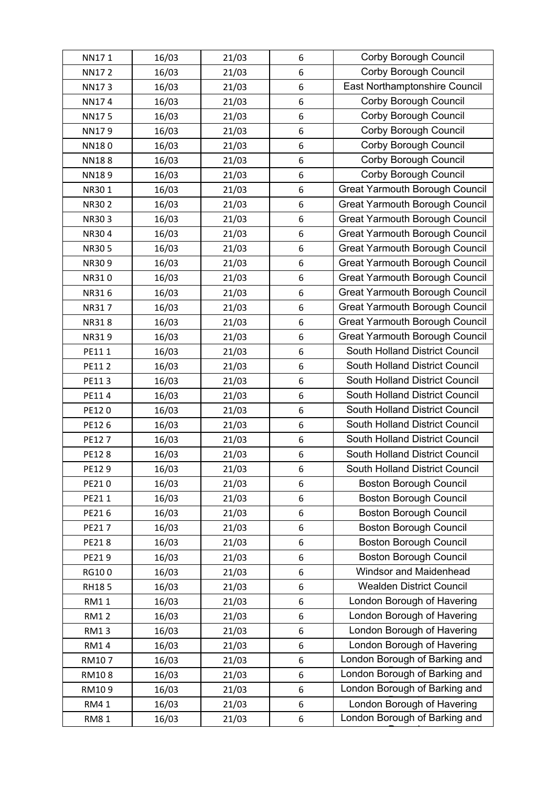| NN171        | 16/03 | 21/03 | 6                | Corby Borough Council                 |
|--------------|-------|-------|------------------|---------------------------------------|
| <b>NN172</b> | 16/03 | 21/03 | 6                | Corby Borough Council                 |
| <b>NN173</b> | 16/03 | 21/03 | $\,6\,$          | East Northamptonshire Council         |
| NN174        | 16/03 | 21/03 | $\,6\,$          | Corby Borough Council                 |
| <b>NN175</b> | 16/03 | 21/03 | 6                | Corby Borough Council                 |
| NN179        | 16/03 | 21/03 | 6                | Corby Borough Council                 |
| NN180        | 16/03 | 21/03 | 6                | Corby Borough Council                 |
| <b>NN188</b> | 16/03 | 21/03 | $\,6\,$          | Corby Borough Council                 |
| <b>NN189</b> | 16/03 | 21/03 | 6                | Corby Borough Council                 |
| NR301        | 16/03 | 21/03 | 6                | <b>Great Yarmouth Borough Council</b> |
| <b>NR302</b> | 16/03 | 21/03 | $\,6\,$          | <b>Great Yarmouth Borough Council</b> |
| NR303        | 16/03 | 21/03 | 6                | <b>Great Yarmouth Borough Council</b> |
| <b>NR304</b> | 16/03 | 21/03 | 6                | <b>Great Yarmouth Borough Council</b> |
| <b>NR305</b> | 16/03 | 21/03 | 6                | <b>Great Yarmouth Borough Council</b> |
| NR309        | 16/03 | 21/03 | $\,6\,$          | <b>Great Yarmouth Borough Council</b> |
| NR310        | 16/03 | 21/03 | $\,6\,$          | <b>Great Yarmouth Borough Council</b> |
| NR316        | 16/03 | 21/03 | 6                | <b>Great Yarmouth Borough Council</b> |
| NR317        | 16/03 | 21/03 | 6                | <b>Great Yarmouth Borough Council</b> |
| <b>NR318</b> | 16/03 | 21/03 | $\,6\,$          | <b>Great Yarmouth Borough Council</b> |
| NR319        | 16/03 | 21/03 | $\,6\,$          | <b>Great Yarmouth Borough Council</b> |
| PE111        | 16/03 | 21/03 | 6                | South Holland District Council        |
| PE112        | 16/03 | 21/03 | 6                | South Holland District Council        |
| PE113        | 16/03 | 21/03 | 6                | South Holland District Council        |
| PE114        | 16/03 | 21/03 | $6\phantom{1}6$  | South Holland District Council        |
| PE120        | 16/03 | 21/03 | $6\phantom{1}6$  | South Holland District Council        |
| PE126        | 16/03 | 21/03 | 6                | South Holland District Council        |
| PE127        | 16/03 | 21/03 | $\,6\,$          | South Holland District Council        |
| PE128        | 16/03 | 21/03 | $\boldsymbol{6}$ | South Holland District Council        |
| PE129        | 16/03 | 21/03 | 6                | South Holland District Council        |
| PE210        | 16/03 | 21/03 | 6                | <b>Boston Borough Council</b>         |
| PE211        | 16/03 | 21/03 | 6                | <b>Boston Borough Council</b>         |
| PE216        | 16/03 | 21/03 | 6                | <b>Boston Borough Council</b>         |
| PE217        | 16/03 | 21/03 | 6                | <b>Boston Borough Council</b>         |
| PE218        | 16/03 | 21/03 | 6                | <b>Boston Borough Council</b>         |
| PE219        | 16/03 | 21/03 | 6                | <b>Boston Borough Council</b>         |
| RG100        | 16/03 | 21/03 | 6                | <b>Windsor and Maidenhead</b>         |
| RH185        | 16/03 | 21/03 | 6                | <b>Wealden District Council</b>       |
| <b>RM11</b>  | 16/03 | 21/03 | 6                | London Borough of Havering            |
| <b>RM12</b>  | 16/03 | 21/03 | $\,6\,$          | London Borough of Havering            |
| <b>RM13</b>  | 16/03 | 21/03 | 6                | London Borough of Havering            |
| <b>RM14</b>  | 16/03 | 21/03 | 6                | London Borough of Havering            |
| RM107        | 16/03 | 21/03 | 6                | London Borough of Barking and         |
| RM108        | 16/03 | 21/03 | $\,6\,$          | London Borough of Barking and         |
| RM109        | 16/03 | 21/03 | 6                | London Borough of Barking and         |
| <b>RM41</b>  | 16/03 | 21/03 | 6                | London Borough of Havering            |
| <b>RM81</b>  | 16/03 | 21/03 | 6                | London Borough of Barking and         |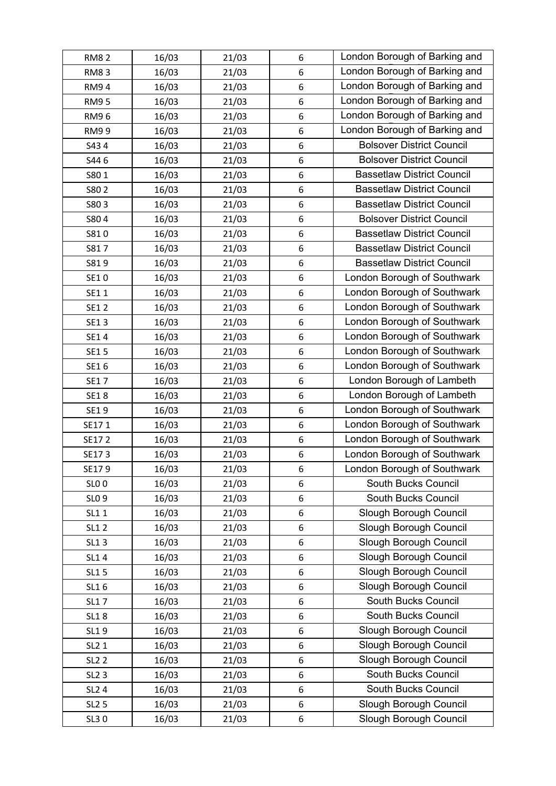| <b>RM82</b>       | 16/03 | 21/03 | 6                | London Borough of Barking and     |
|-------------------|-------|-------|------------------|-----------------------------------|
| <b>RM83</b>       | 16/03 | 21/03 | 6                | London Borough of Barking and     |
| <b>RM94</b>       | 16/03 | 21/03 | 6                | London Borough of Barking and     |
| <b>RM95</b>       | 16/03 | 21/03 | $\,6\,$          | London Borough of Barking and     |
| <b>RM96</b>       | 16/03 | 21/03 | $\boldsymbol{6}$ | London Borough of Barking and     |
| <b>RM99</b>       | 16/03 | 21/03 | $6\phantom{1}6$  | London Borough of Barking and     |
| S434              | 16/03 | 21/03 | 6                | <b>Bolsover District Council</b>  |
| S446              | 16/03 | 21/03 | 6                | <b>Bolsover District Council</b>  |
| S801              | 16/03 | 21/03 | 6                | <b>Bassetlaw District Council</b> |
| S80 2             | 16/03 | 21/03 | 6                | <b>Bassetlaw District Council</b> |
| S803              | 16/03 | 21/03 | 6                | <b>Bassetlaw District Council</b> |
| S804              | 16/03 | 21/03 | $\,6\,$          | <b>Bolsover District Council</b>  |
| S810              | 16/03 | 21/03 | $\boldsymbol{6}$ | <b>Bassetlaw District Council</b> |
| S817              | 16/03 | 21/03 | $6\phantom{1}6$  | <b>Bassetlaw District Council</b> |
| S819              | 16/03 | 21/03 | 6                | <b>Bassetlaw District Council</b> |
| SE10              | 16/03 | 21/03 | 6                | London Borough of Southwark       |
| SE11              | 16/03 | 21/03 | 6                | London Borough of Southwark       |
| SE1 2             | 16/03 | 21/03 | 6                | London Borough of Southwark       |
| SE13              | 16/03 | 21/03 | 6                | London Borough of Southwark       |
| SE14              | 16/03 | 21/03 | $\,6\,$          | London Borough of Southwark       |
| SE1 5             | 16/03 | 21/03 | $6\phantom{1}6$  | London Borough of Southwark       |
| SE16              | 16/03 | 21/03 | $6\phantom{1}6$  | London Borough of Southwark       |
| SE17              | 16/03 | 21/03 | 6                | London Borough of Lambeth         |
| <b>SE18</b>       | 16/03 | 21/03 | 6                | London Borough of Lambeth         |
| SE19              | 16/03 | 21/03 | $\,6\,$          | London Borough of Southwark       |
| SE171             | 16/03 | 21/03 | 6                | London Borough of Southwark       |
| SE172             | 16/03 | 21/03 | 6                | London Borough of Southwark       |
| SE173             | 16/03 | 21/03 | $\,6\,$          | London Borough of Southwark       |
| SE179             | 16/03 | 21/03 | 6                | London Borough of Southwark       |
| <b>SLO 0</b>      | 16/03 | 21/03 | 6                | South Bucks Council               |
| SL <sub>0</sub> 9 | 16/03 | 21/03 | 6                | South Bucks Council               |
| SL1 1             | 16/03 | 21/03 | 6                | Slough Borough Council            |
| <b>SL12</b>       | 16/03 | 21/03 | 6                | Slough Borough Council            |
| <b>SL13</b>       | 16/03 | 21/03 | 6                | Slough Borough Council            |
| SL14              | 16/03 | 21/03 | 6                | Slough Borough Council            |
| SL1 5             | 16/03 | 21/03 | 6                | Slough Borough Council            |
| SL16              | 16/03 | 21/03 | $\boldsymbol{6}$ | Slough Borough Council            |
| <b>SL17</b>       | 16/03 | 21/03 | 6                | South Bucks Council               |
| <b>SL18</b>       | 16/03 | 21/03 | 6                | South Bucks Council               |
| SL19              | 16/03 | 21/03 | 6                | Slough Borough Council            |
| SL2 1             | 16/03 | 21/03 | 6                | Slough Borough Council            |
| <b>SL2 2</b>      | 16/03 | 21/03 | 6                | Slough Borough Council            |
| <b>SL2 3</b>      | 16/03 | 21/03 | $6\,$            | South Bucks Council               |
| SL <sub>2</sub> 4 | 16/03 | 21/03 | 6                | South Bucks Council               |
| <b>SL2 5</b>      | 16/03 | 21/03 | $\,6\,$          | Slough Borough Council            |
| SL30              | 16/03 | 21/03 | $\,$ 6 $\,$      | Slough Borough Council            |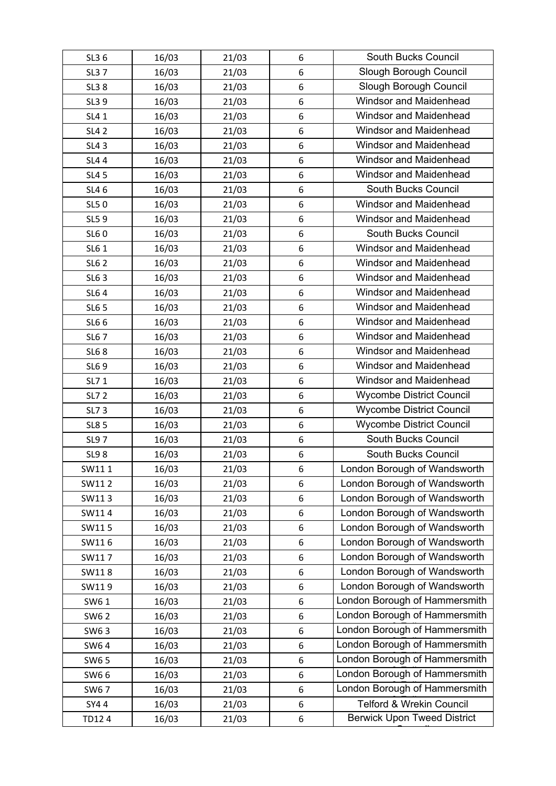| SL3 6        | 16/03 | 21/03 | 6                | <b>South Bucks Council</b>         |
|--------------|-------|-------|------------------|------------------------------------|
| <b>SL37</b>  | 16/03 | 21/03 | 6                | Slough Borough Council             |
| <b>SL38</b>  | 16/03 | 21/03 | 6                | Slough Borough Council             |
| SL39         | 16/03 | 21/03 | 6                | <b>Windsor and Maidenhead</b>      |
| SL4 1        | 16/03 | 21/03 | 6                | Windsor and Maidenhead             |
| <b>SL42</b>  | 16/03 | 21/03 | 6                | <b>Windsor and Maidenhead</b>      |
| <b>SL43</b>  | 16/03 | 21/03 | 6                | Windsor and Maidenhead             |
| <b>SL44</b>  | 16/03 | 21/03 | 6                | Windsor and Maidenhead             |
| <b>SL45</b>  | 16/03 | 21/03 | 6                | <b>Windsor and Maidenhead</b>      |
| SL4 6        | 16/03 | 21/03 | 6                | South Bucks Council                |
| SL50         | 16/03 | 21/03 | 6                | Windsor and Maidenhead             |
| SL59         | 16/03 | 21/03 | 6                | <b>Windsor and Maidenhead</b>      |
| SL60         | 16/03 | 21/03 | 6                | South Bucks Council                |
| SL6 1        | 16/03 | 21/03 | 6                | <b>Windsor and Maidenhead</b>      |
| <b>SL62</b>  | 16/03 | 21/03 | 6                | Windsor and Maidenhead             |
| SL6 3        | 16/03 | 21/03 | 6                | Windsor and Maidenhead             |
| <b>SL64</b>  | 16/03 | 21/03 | 6                | <b>Windsor and Maidenhead</b>      |
| SL6 5        | 16/03 | 21/03 | 6                | Windsor and Maidenhead             |
| SL6 6        | 16/03 | 21/03 | 6                | Windsor and Maidenhead             |
| <b>SL67</b>  | 16/03 | 21/03 | 6                | <b>Windsor and Maidenhead</b>      |
| <b>SL68</b>  | 16/03 | 21/03 | 6                | Windsor and Maidenhead             |
| SL69         | 16/03 | 21/03 | 6                | <b>Windsor and Maidenhead</b>      |
| SL7 1        | 16/03 | 21/03 | 6                | Windsor and Maidenhead             |
| <b>SL7 2</b> | 16/03 | 21/03 | 6                | <b>Wycombe District Council</b>    |
| SL73         | 16/03 | 21/03 | 6                | <b>Wycombe District Council</b>    |
| <b>SL8 5</b> | 16/03 | 21/03 | 6                | <b>Wycombe District Council</b>    |
| SL97         | 16/03 | 21/03 | 6                | South Bucks Council                |
| <b>SL98</b>  | 16/03 | 21/03 | 6                | South Bucks Council                |
| SW111        | 16/03 | 21/03 | 6                | London Borough of Wandsworth       |
| SW112        | 16/03 | 21/03 | 6                | London Borough of Wandsworth       |
| SW113        | 16/03 | 21/03 | 6                | London Borough of Wandsworth       |
| SW114        | 16/03 | 21/03 | 6                | London Borough of Wandsworth       |
| SW115        | 16/03 | 21/03 | $\boldsymbol{6}$ | London Borough of Wandsworth       |
| SW116        | 16/03 | 21/03 | 6                | London Borough of Wandsworth       |
| SW117        | 16/03 | 21/03 | 6                | London Borough of Wandsworth       |
| SW118        | 16/03 | 21/03 | 6                | London Borough of Wandsworth       |
| SW119        | 16/03 | 21/03 | $6\phantom{1}6$  | London Borough of Wandsworth       |
| SW6 1        | 16/03 | 21/03 | 6                | London Borough of Hammersmith      |
| SW6 2        | 16/03 | 21/03 | 6                | London Borough of Hammersmith      |
| SW63         | 16/03 | 21/03 | 6                | London Borough of Hammersmith      |
| SW64         | 16/03 | 21/03 | 6                | London Borough of Hammersmith      |
| SW6 5        | 16/03 | 21/03 | 6                | London Borough of Hammersmith      |
| SW66         | 16/03 | 21/03 | 6                | London Borough of Hammersmith      |
| SW67         | 16/03 | 21/03 | 6                | London Borough of Hammersmith      |
| SY44         | 16/03 | 21/03 | $\,6\,$          | Telford & Wrekin Council           |
| TD124        | 16/03 | 21/03 | 6                | <b>Berwick Upon Tweed District</b> |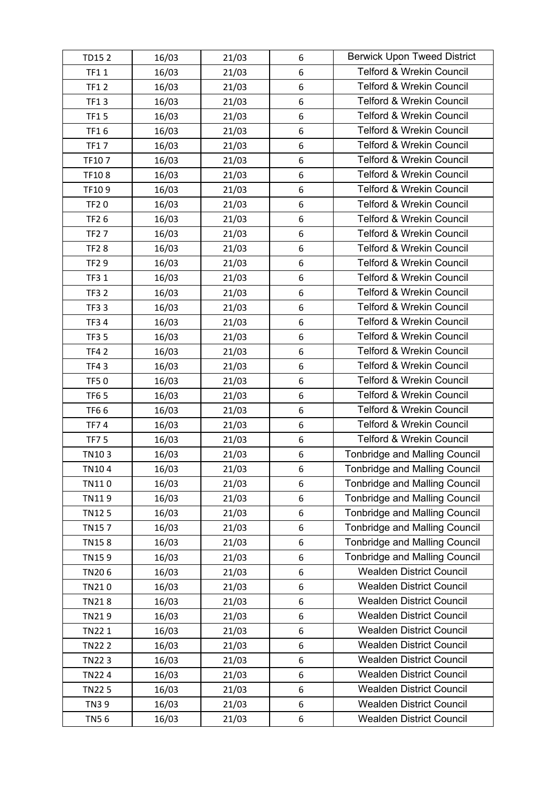| TD152        | 16/03 | 21/03 | 6                | <b>Berwick Upon Tweed District</b>   |
|--------------|-------|-------|------------------|--------------------------------------|
| <b>TF11</b>  | 16/03 | 21/03 | $\,6\,$          | <b>Telford &amp; Wrekin Council</b>  |
| <b>TF12</b>  | 16/03 | 21/03 | 6                | <b>Telford &amp; Wrekin Council</b>  |
| <b>TF13</b>  | 16/03 | 21/03 | $\,6\,$          | <b>Telford &amp; Wrekin Council</b>  |
| <b>TF15</b>  | 16/03 | 21/03 | 6                | Telford & Wrekin Council             |
| <b>TF16</b>  | 16/03 | 21/03 | 6                | <b>Telford &amp; Wrekin Council</b>  |
| <b>TF17</b>  | 16/03 | 21/03 | 6                | <b>Telford &amp; Wrekin Council</b>  |
| TF107        | 16/03 | 21/03 | 6                | Telford & Wrekin Council             |
| TF108        | 16/03 | 21/03 | 6                | <b>Telford &amp; Wrekin Council</b>  |
| TF109        | 16/03 | 21/03 | 6                | <b>Telford &amp; Wrekin Council</b>  |
| <b>TF20</b>  | 16/03 | 21/03 | 6                | <b>Telford &amp; Wrekin Council</b>  |
| <b>TF26</b>  | 16/03 | 21/03 | $\,6\,$          | <b>Telford &amp; Wrekin Council</b>  |
| <b>TF27</b>  | 16/03 | 21/03 | 6                | <b>Telford &amp; Wrekin Council</b>  |
| <b>TF28</b>  | 16/03 | 21/03 | 6                | <b>Telford &amp; Wrekin Council</b>  |
| <b>TF29</b>  | 16/03 | 21/03 | 6                | <b>Telford &amp; Wrekin Council</b>  |
| <b>TF31</b>  | 16/03 | 21/03 | 6                | <b>Telford &amp; Wrekin Council</b>  |
| <b>TF32</b>  | 16/03 | 21/03 | 6                | <b>Telford &amp; Wrekin Council</b>  |
| <b>TF33</b>  | 16/03 | 21/03 | $\boldsymbol{6}$ | <b>Telford &amp; Wrekin Council</b>  |
| <b>TF34</b>  | 16/03 | 21/03 | 6                | <b>Telford &amp; Wrekin Council</b>  |
| <b>TF35</b>  | 16/03 | 21/03 | $\,6\,$          | <b>Telford &amp; Wrekin Council</b>  |
| <b>TF42</b>  | 16/03 | 21/03 | 6                | <b>Telford &amp; Wrekin Council</b>  |
| <b>TF43</b>  | 16/03 | 21/03 | 6                | <b>Telford &amp; Wrekin Council</b>  |
| <b>TF50</b>  | 16/03 | 21/03 | 6                | <b>Telford &amp; Wrekin Council</b>  |
| <b>TF65</b>  | 16/03 | 21/03 | 6                | <b>Telford &amp; Wrekin Council</b>  |
| <b>TF66</b>  | 16/03 | 21/03 | 6                | <b>Telford &amp; Wrekin Council</b>  |
| <b>TF74</b>  | 16/03 | 21/03 | 6                | <b>Telford &amp; Wrekin Council</b>  |
| <b>TF75</b>  | 16/03 | 21/03 | 6                | <b>Telford &amp; Wrekin Council</b>  |
| TN103        | 16/03 | 21/03 | $\,$ 6 $\,$      | <b>Tonbridge and Malling Council</b> |
| TN104        | 16/03 | 21/03 | 6                | <b>Tonbridge and Malling Council</b> |
| TN110        | 16/03 | 21/03 | 6                | <b>Tonbridge and Malling Council</b> |
| TN119        | 16/03 | 21/03 | 6                | <b>Tonbridge and Malling Council</b> |
| TN125        | 16/03 | 21/03 | 6                | <b>Tonbridge and Malling Council</b> |
| <b>TN157</b> | 16/03 | 21/03 | $6\,$            | <b>Tonbridge and Malling Council</b> |
| <b>TN158</b> | 16/03 | 21/03 | 6                | <b>Tonbridge and Malling Council</b> |
| TN159        | 16/03 | 21/03 | 6                | <b>Tonbridge and Malling Council</b> |
| TN206        | 16/03 | 21/03 | 6                | <b>Wealden District Council</b>      |
| TN210        | 16/03 | 21/03 | $6\,$            | <b>Wealden District Council</b>      |
| <b>TN218</b> | 16/03 | 21/03 | 6                | <b>Wealden District Council</b>      |
| TN219        | 16/03 | 21/03 | $\boldsymbol{6}$ | <b>Wealden District Council</b>      |
| TN22 1       | 16/03 | 21/03 | 6                | <b>Wealden District Council</b>      |
| <b>TN222</b> | 16/03 | 21/03 | 6                | <b>Wealden District Council</b>      |
| <b>TN223</b> | 16/03 | 21/03 | 6                | <b>Wealden District Council</b>      |
| <b>TN224</b> | 16/03 | 21/03 | $6\,$            | <b>Wealden District Council</b>      |
| <b>TN225</b> | 16/03 | 21/03 | 6                | <b>Wealden District Council</b>      |
| <b>TN39</b>  | 16/03 | 21/03 | $\boldsymbol{6}$ | <b>Wealden District Council</b>      |
| <b>TN56</b>  | 16/03 | 21/03 | 6                | <b>Wealden District Council</b>      |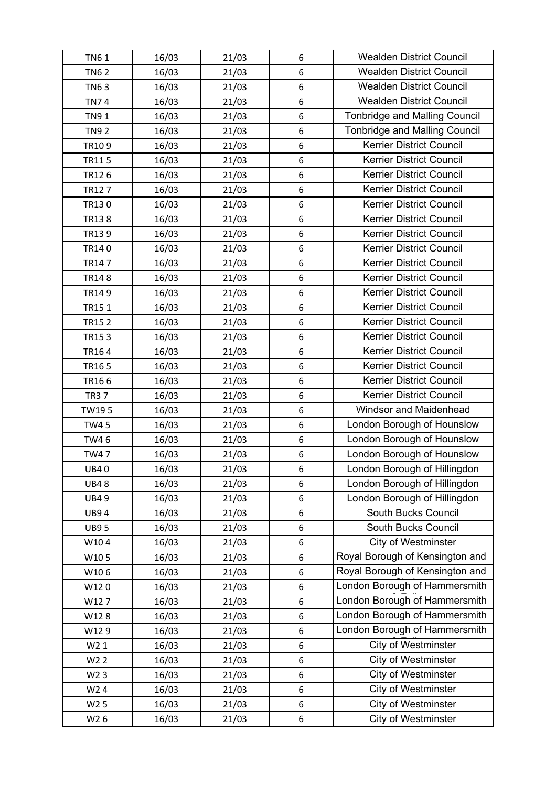| <b>TN61</b>      | 16/03 | 21/03 | 6 | <b>Wealden District Council</b>      |
|------------------|-------|-------|---|--------------------------------------|
| <b>TN62</b>      | 16/03 | 21/03 | 6 | <b>Wealden District Council</b>      |
| <b>TN63</b>      | 16/03 | 21/03 | 6 | <b>Wealden District Council</b>      |
| <b>TN74</b>      | 16/03 | 21/03 | 6 | <b>Wealden District Council</b>      |
| <b>TN91</b>      | 16/03 | 21/03 | 6 | <b>Tonbridge and Malling Council</b> |
| <b>TN92</b>      | 16/03 | 21/03 | 6 | <b>Tonbridge and Malling Council</b> |
| TR109            | 16/03 | 21/03 | 6 | <b>Kerrier District Council</b>      |
| TR115            | 16/03 | 21/03 | 6 | Kerrier District Council             |
| TR126            | 16/03 | 21/03 | 6 | <b>Kerrier District Council</b>      |
| TR127            | 16/03 | 21/03 | 6 | <b>Kerrier District Council</b>      |
| TR130            | 16/03 | 21/03 | 6 | Kerrier District Council             |
| TR138            | 16/03 | 21/03 | 6 | <b>Kerrier District Council</b>      |
| TR139            | 16/03 | 21/03 | 6 | <b>Kerrier District Council</b>      |
| TR140            | 16/03 | 21/03 | 6 | <b>Kerrier District Council</b>      |
| TR147            | 16/03 | 21/03 | 6 | <b>Kerrier District Council</b>      |
| <b>TR148</b>     | 16/03 | 21/03 | 6 | <b>Kerrier District Council</b>      |
| TR149            | 16/03 | 21/03 | 6 | <b>Kerrier District Council</b>      |
| TR151            | 16/03 | 21/03 | 6 | <b>Kerrier District Council</b>      |
| TR152            | 16/03 | 21/03 | 6 | Kerrier District Council             |
| TR153            | 16/03 | 21/03 | 6 | <b>Kerrier District Council</b>      |
| TR164            | 16/03 | 21/03 | 6 | Kerrier District Council             |
| TR165            | 16/03 | 21/03 | 6 | <b>Kerrier District Council</b>      |
| TR166            | 16/03 | 21/03 | 6 | <b>Kerrier District Council</b>      |
| <b>TR37</b>      | 16/03 | 21/03 | 6 | Kerrier District Council             |
| TW195            | 16/03 | 21/03 | 6 | <b>Windsor and Maidenhead</b>        |
| <b>TW45</b>      | 16/03 | 21/03 | 6 | London Borough of Hounslow           |
| TW46             | 16/03 | 21/03 | 6 | London Borough of Hounslow           |
| <b>TW47</b>      | 16/03 | 21/03 | 6 | London Borough of Hounslow           |
| <b>UB40</b>      | 16/03 | 21/03 | 6 | London Borough of Hillingdon         |
| <b>UB48</b>      | 16/03 | 21/03 | 6 | London Borough of Hillingdon         |
| <b>UB49</b>      | 16/03 | 21/03 | 6 | London Borough of Hillingdon         |
| <b>UB94</b>      | 16/03 | 21/03 | 6 | South Bucks Council                  |
| <b>UB95</b>      | 16/03 | 21/03 | 6 | South Bucks Council                  |
| W104             | 16/03 | 21/03 | 6 | <b>City of Westminster</b>           |
| W105             | 16/03 | 21/03 | 6 | Royal Borough of Kensington and      |
| W106             | 16/03 | 21/03 | 6 | Royal Borough of Kensington and      |
| W120             | 16/03 | 21/03 | 6 | London Borough of Hammersmith        |
| W127             | 16/03 | 21/03 | 6 | London Borough of Hammersmith        |
| W128             | 16/03 | 21/03 | 6 | London Borough of Hammersmith        |
| W129             | 16/03 | 21/03 | 6 | London Borough of Hammersmith        |
| W2 1             | 16/03 | 21/03 | 6 | <b>City of Westminster</b>           |
| W <sub>2</sub> 2 | 16/03 | 21/03 | 6 | <b>City of Westminster</b>           |
| W <sub>2</sub> 3 | 16/03 | 21/03 | 6 | <b>City of Westminster</b>           |
| W <sub>2</sub> 4 | 16/03 | 21/03 | 6 | <b>City of Westminster</b>           |
| W <sub>2</sub> 5 | 16/03 | 21/03 | 6 | <b>City of Westminster</b>           |
| W26              | 16/03 | 21/03 | 6 | City of Westminster                  |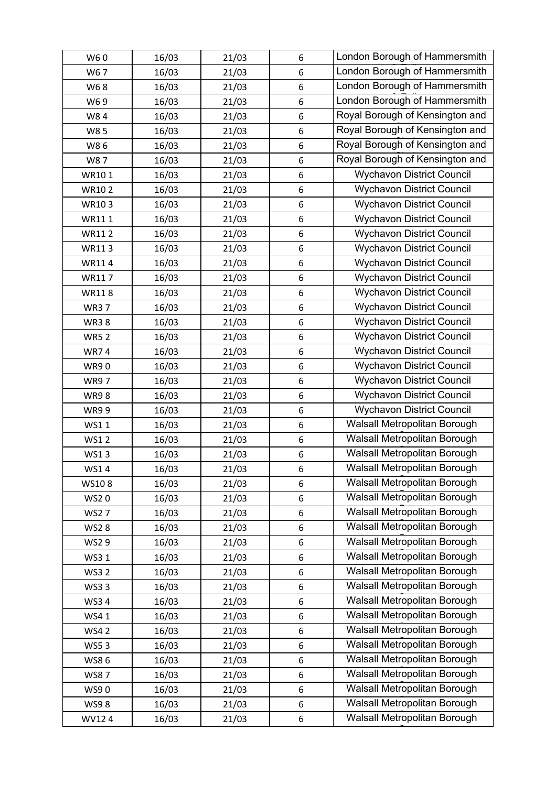| W60          | 16/03 | 21/03 | 6                | London Borough of Hammersmith    |
|--------------|-------|-------|------------------|----------------------------------|
| W67          | 16/03 | 21/03 | 6                | London Borough of Hammersmith    |
| W68          | 16/03 | 21/03 | 6                | London Borough of Hammersmith    |
| W69          | 16/03 | 21/03 | 6                | London Borough of Hammersmith    |
| W84          | 16/03 | 21/03 | 6                | Royal Borough of Kensington and  |
| W85          | 16/03 | 21/03 | 6                | Royal Borough of Kensington and  |
| W86          | 16/03 | 21/03 | 6                | Royal Borough of Kensington and  |
| W87          | 16/03 | 21/03 | 6                | Royal Borough of Kensington and  |
| WR101        | 16/03 | 21/03 | 6                | <b>Wychavon District Council</b> |
| <b>WR102</b> | 16/03 | 21/03 | 6                | <b>Wychavon District Council</b> |
| WR103        | 16/03 | 21/03 | 6                | <b>Wychavon District Council</b> |
| WR111        | 16/03 | 21/03 | $\boldsymbol{6}$ | <b>Wychavon District Council</b> |
| <b>WR112</b> | 16/03 | 21/03 | 6                | <b>Wychavon District Council</b> |
| WR113        | 16/03 | 21/03 | 6                | <b>Wychavon District Council</b> |
| WR114        | 16/03 | 21/03 | 6                | <b>Wychavon District Council</b> |
| WR117        | 16/03 | 21/03 | 6                | <b>Wychavon District Council</b> |
| <b>WR118</b> | 16/03 | 21/03 | 6                | <b>Wychavon District Council</b> |
| <b>WR37</b>  | 16/03 | 21/03 | 6                | <b>Wychavon District Council</b> |
| <b>WR38</b>  | 16/03 | 21/03 | 6                | <b>Wychavon District Council</b> |
| <b>WR52</b>  | 16/03 | 21/03 | 6                | <b>Wychavon District Council</b> |
| <b>WR74</b>  | 16/03 | 21/03 | 6                | <b>Wychavon District Council</b> |
| <b>WR90</b>  | 16/03 | 21/03 | 6                | <b>Wychavon District Council</b> |
| <b>WR97</b>  | 16/03 | 21/03 | 6                | <b>Wychavon District Council</b> |
| <b>WR98</b>  | 16/03 | 21/03 | $6\phantom{1}6$  | <b>Wychavon District Council</b> |
| <b>WR99</b>  | 16/03 | 21/03 | 6                | <b>Wychavon District Council</b> |
| WS11         | 16/03 | 21/03 | 6                | Walsall Metropolitan Borough     |
| <b>WS12</b>  | 16/03 | 21/03 | 6                | Walsall Metropolitan Borough     |
| WS13         | 16/03 | 21/03 | 6                | Walsall Metropolitan Borough     |
| WS14         | 16/03 | 21/03 | 6                | Walsall Metropolitan Borough     |
| WS108        | 16/03 | 21/03 | 6                | Walsall Metropolitan Borough     |
| <b>WS20</b>  | 16/03 | 21/03 | 6                | Walsall Metropolitan Borough     |
| <b>WS27</b>  | 16/03 | 21/03 | 6                | Walsall Metropolitan Borough     |
| <b>WS28</b>  | 16/03 | 21/03 | 6                | Walsall Metropolitan Borough     |
| WS29         | 16/03 | 21/03 | 6                | Walsall Metropolitan Borough     |
| WS3 1        | 16/03 | 21/03 | 6                | Walsall Metropolitan Borough     |
| <b>WS32</b>  | 16/03 | 21/03 | 6                | Walsall Metropolitan Borough     |
| <b>WS33</b>  | 16/03 | 21/03 | 6                | Walsall Metropolitan Borough     |
| <b>WS34</b>  | 16/03 | 21/03 | 6                | Walsall Metropolitan Borough     |
| WS41         | 16/03 | 21/03 | 6                | Walsall Metropolitan Borough     |
| <b>WS42</b>  | 16/03 | 21/03 | 6                | Walsall Metropolitan Borough     |
| <b>WS53</b>  | 16/03 | 21/03 | 6                | Walsall Metropolitan Borough     |
| WS86         | 16/03 | 21/03 | 6                | Walsall Metropolitan Borough     |
| <b>WS87</b>  | 16/03 | 21/03 | 6                | Walsall Metropolitan Borough     |
| WS90         | 16/03 | 21/03 | 6                | Walsall Metropolitan Borough     |
| <b>WS98</b>  | 16/03 | 21/03 | 6                | Walsall Metropolitan Borough     |
| WV124        | 16/03 | 21/03 | 6                | Walsall Metropolitan Borough     |